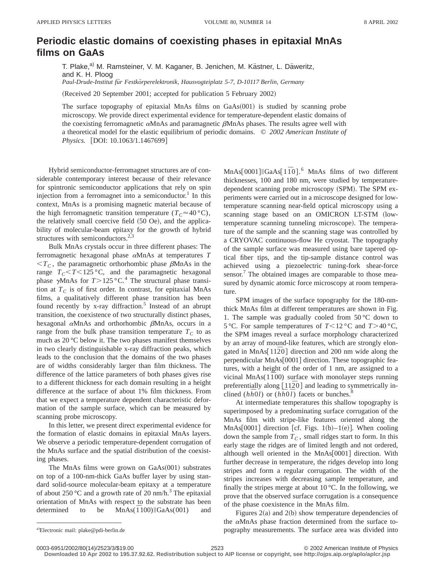## **Periodic elastic domains of coexisting phases in epitaxial MnAs films on GaAs**

T. Plake,<sup>a)</sup> M. Ramsteiner, V. M. Kaganer, B. Jenichen, M. Kästner, L. Däweritz, and K. H. Ploog *Paul-Drude-Institut fu¨r Festko¨rperelektronik, Hausvogteiplatz 5-7, D-10117 Berlin, Germany*

(Received 20 September 2001; accepted for publication 5 February 2002)

The surface topography of epitaxial MnAs films on  $GaAs(001)$  is studied by scanning probe microscopy. We provide direct experimental evidence for temperature-dependent elastic domains of the coexisting ferromagnetic  $\alpha$ MnAs and paramagnetic  $\beta$ MnAs phases. The results agree well with a theoretical model for the elastic equilibrium of periodic domains. © *2002 American Institute of Physics.* [DOI: 10.1063/1.1467699]

Hybrid semiconductor-ferromagnet structures are of considerable contemporary interest because of their relevance for spintronic semiconductor applications that rely on spin injection from a ferromagnet into a semiconductor.<sup>1</sup> In this context, MnAs is a promising magnetic material because of the high ferromagnetic transition temperature  $(T_C \approx 40 \degree C)$ , the relatively small coercive field  $(50$  Oe), and the applicability of molecular-beam epitaxy for the growth of hybrid structures with semiconductors.<sup>2,3</sup>

Bulk MnAs crystals occur in three different phases: The ferromagnetic hexagonal phase <sup>a</sup>MnAs at temperatures *T*  $T_c$ , the paramagnetic orthorhombic phase  $\beta$ MnAs in the range  $T_c$ < $T$ < $125$  °C, and the paramagnetic hexagonal phase  $\gamma$ MnAs for *T*>125 °C.<sup>4</sup> The structural phase transition at  $T_c$  is of first order. In contrast, for epitaxial MnAs films, a qualitatively different phase transition has been found recently by  $x$ -ray diffraction.<sup>5</sup> Instead of an abrupt transition, the coexistence of two structurally distinct phases, hexagonal  $\alpha$ MnAs and orthorhombic  $\beta$ MnAs, occurs in a range from the bulk phase transition temperature  $T_c$  to as much as 20 °C below it. The two phases manifest themselves in two clearly distinguishable x-ray diffraction peaks, which leads to the conclusion that the domains of the two phases are of widths considerably larger than film thickness. The difference of the lattice parameters of both phases gives rise to a different thickness for each domain resulting in a height difference at the surface of about 1% film thickness. From that we expect a temperature dependent characteristic deformation of the sample surface, which can be measured by scanning probe microscopy.

In this letter, we present direct experimental evidence for the formation of elastic domains in epitaxial MnAs layers. We observe a periodic temperature-dependent corrugation of the MnAs surface and the spatial distribution of the coexisting phases.

The MnAs films were grown on  $GaAs(001)$  substrates on top of a 100-nm-thick GaAs buffer layer by using standard solid-source molecular-beam epitaxy at a temperature of about 250 °C and a growth rate of 20 nm/h.<sup>3</sup> The epitaxial orientation of MnAs with respect to the substrate has been determined to be  $MnAs(\overline{1}100)||GaAs(001)$  and

MnAs[0001]||GaAs[1<sup> $\bar{1}$ 0].<sup>6</sup> MnAs films of two different</sup> thicknesses, 100 and 180 nm, were studied by temperaturedependent scanning probe microscopy (SPM). The SPM experiments were carried out in a microscope designed for lowtemperature scanning near-field optical microscopy using a scanning stage based on an OMICRON LT-STM (lowtemperature scanning tunneling microscope). The temperature of the sample and the scanning stage was controlled by a CRYOVAC continuous-flow He cryostat. The topography of the sample surface was measured using bare tapered optical fiber tips, and the tip-sample distance control was achieved using a piezoelectric tuning-fork shear-force sensor.<sup>7</sup> The obtained images are comparable to those measured by dynamic atomic force microscopy at room temperature.

SPM images of the surface topography for the 180-nmthick MnAs film at different temperatures are shown in Fig. 1. The sample was gradually cooled from  $50^{\circ}$ C down to 5 °C. For sample temperatures of  $T < 12$  °C and  $T > 40$  °C, the SPM images reveal a surface morphology characterized by an array of mound-like features, which are strongly elongated in MnAs<sup> $[11\overline{2}0]$  direction and 200 nm wide along the</sup> perpendicular MnAs[0001] direction. These topographic features, with a height of the order of 1 nm, are assigned to a vicinal MnAs $(1\bar{1}00)$  surface with monolayer steps running preferentially along  $[11\overline{2}0]$  and leading to symmetrically inclined  $(h\bar{h}0l)$  or  $(h\bar{h}0l)$  facets or bunches.<sup>8</sup>

At intermediate temperatures this shallow topography is superimposed by a predominating surface corrugation of the MnAs film with stripe-like features oriented along the MnAs $[0001]$  direction [cf. Figs. 1(b)–1(e)]. When cooling down the sample from  $T_c$ , small ridges start to form. In this early stage the ridges are of limited length and not ordered, although well oriented in the  $MnAs[0001]$  direction. With further decrease in temperature, the ridges develop into long stripes and form a regular corrugation. The width of the stripes increases with decreasing sample temperature, and finally the stripes merge at about  $10^{\circ}$ C. In the following, we prove that the observed surface corrugation is a consequence of the phase coexistence in the MnAs film.

Figures  $2(a)$  and  $2(b)$  show temperature dependencies of the  $\alpha$ MnAs phase fraction determined from the surface topography measurements. The surface area was divided into

**Downloaded 10 Apr 2002 to 195.37.92.62. Redistribution subject to AIP license or copyright, see http://ojps.aip.org/aplo/aplcr.jsp**

Electronic mail: plake@pdi-berlin.de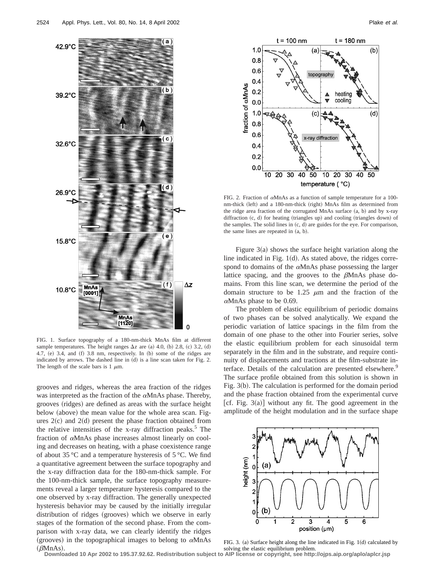

FIG. 1. Surface topography of a 180-nm-thick MnAs film at different sample temperatures. The height ranges  $\Delta z$  are (a) 4.0, (b) 2.8, (c) 3.2, (d) 4.7,  $(e)$  3.4, and  $(f)$  3.8 nm, respectively. In  $(b)$  some of the ridges are indicated by arrows. The dashed line in  $(d)$  is a line scan taken for Fig. 2. The length of the scale bars is 1  $\mu$ m.

grooves and ridges, whereas the area fraction of the ridges was interpreted as the fraction of the  $\alpha$ MnAs phase. Thereby, grooves (ridges) are defined as areas with the surface height below (above) the mean value for the whole area scan. Figures  $2(c)$  and  $2(d)$  present the phase fraction obtained from the relative intensities of the x-ray diffraction peaks.<sup>5</sup> The fraction of <sup>a</sup>MnAs phase increases almost linearly on cooling and decreases on heating, with a phase coexistence range of about 35 °C and a temperature hysteresis of 5 °C. We find a quantitative agreement between the surface topography and the x-ray diffraction data for the 180-nm-thick sample. For the 100-nm-thick sample, the surface topography measurements reveal a larger temperature hysteresis compared to the one observed by x-ray diffraction. The generally unexpected hysteresis behavior may be caused by the initially irregular distribution of ridges (grooves) which we observe in early stages of the formation of the second phase. From the comparison with x-ray data, we can clearly identify the ridges (grooves) in the topographical images to belong to  $\alpha$ MnAs  $(\beta$ MnAs).



FIG. 2. Fraction of  $\alpha$ MnAs as a function of sample temperature for a 100nm-thick (left) and a 180-nm-thick (right) MnAs film as determined from the ridge area fraction of the corrugated MnAs surface  $(a, b)$  and by x-ray diffraction  $(c, d)$  for heating (triangles up) and cooling (triangles down) of the samples. The solid lines in  $(c, d)$  are guides for the eye. For comparison, the same lines are repeated in  $(a, b)$ .

Figure  $3(a)$  shows the surface height variation along the line indicated in Fig.  $1(d)$ . As stated above, the ridges correspond to domains of the  $\alpha$ MnAs phase possessing the larger lattice spacing, and the grooves to the  $\beta$ MnAs phase domains. From this line scan, we determine the period of the domain structure to be 1.25  $\mu$ m and the fraction of the  $\alpha$ MnAs phase to be 0.69.

The problem of elastic equilibrium of periodic domains of two phases can be solved analytically. We expand the periodic variation of lattice spacings in the film from the domain of one phase to the other into Fourier series, solve the elastic equilibrium problem for each sinusoidal term separately in the film and in the substrate, and require continuity of displacements and tractions at the film-substrate interface. Details of the calculation are presented elsewhere.<sup>9</sup> The surface profile obtained from this solution is shown in Fig.  $3(b)$ . The calculation is performed for the domain period and the phase fraction obtained from the experimental curve [cf. Fig. 3(a)] without any fit. The good agreement in the amplitude of the height modulation and in the surface shape



FIG. 3. (a) Surface height along the line indicated in Fig.  $1(d)$  calculated by solving the elastic equilibrium problem. **Downloaded 10 Apr 2002 to 195.37.92.62. Redistribution subject to AIP license or copyright, see http://ojps.aip.org/aplo/aplcr.jsp**